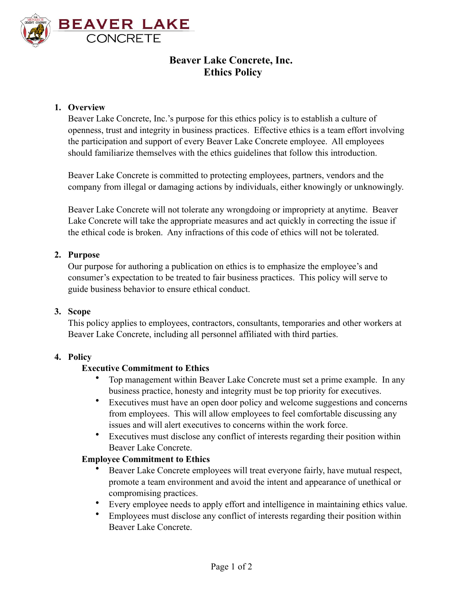

# **Beaver Lake Concrete, Inc. Ethics Policy**

#### **1. Overview**

Beaver Lake Concrete, Inc.'s purpose for this ethics policy is to establish a culture of openness, trust and integrity in business practices. Effective ethics is a team effort involving the participation and support of every Beaver Lake Concrete employee. All employees should familiarize themselves with the ethics guidelines that follow this introduction.

Beaver Lake Concrete is committed to protecting employees, partners, vendors and the company from illegal or damaging actions by individuals, either knowingly or unknowingly.

Beaver Lake Concrete will not tolerate any wrongdoing or impropriety at anytime. Beaver Lake Concrete will take the appropriate measures and act quickly in correcting the issue if the ethical code is broken. Any infractions of this code of ethics will not be tolerated.

#### **2. Purpose**

Our purpose for authoring a publication on ethics is to emphasize the employee's and consumer's expectation to be treated to fair business practices. This policy will serve to guide business behavior to ensure ethical conduct.

#### **3. Scope**

This policy applies to employees, contractors, consultants, temporaries and other workers at Beaver Lake Concrete, including all personnel affiliated with third parties.

#### **4. Policy**

#### **Executive Commitment to Ethics**

- Top management within Beaver Lake Concrete must set a prime example. In any business practice, honesty and integrity must be top priority for executives.
- Executives must have an open door policy and welcome suggestions and concerns from employees. This will allow employees to feel comfortable discussing any issues and will alert executives to concerns within the work force.
- Executives must disclose any conflict of interests regarding their position within Beaver Lake Concrete.

#### **Employee Commitment to Ethics**

- Beaver Lake Concrete employees will treat everyone fairly, have mutual respect, promote a team environment and avoid the intent and appearance of unethical or compromising practices.
- Every employee needs to apply effort and intelligence in maintaining ethics value.
- Employees must disclose any conflict of interests regarding their position within Beaver Lake Concrete.